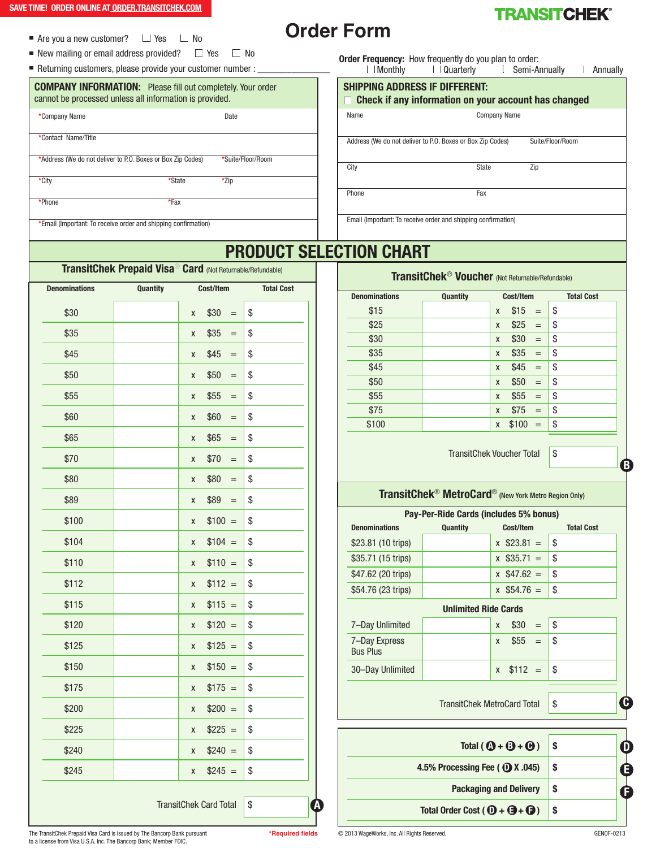- Are you a new customer?  $\Box$  Yes  $\Box$  No
- New mailing or email address provided?  $\Box$  Yes  $\Box$  No
- Returning customers, please provide your customer number :

## **COMPANY INFORMATION:** Please fill out completely. Your order cannot be processed unless all information is provided.

| *Company Name                                               | Date              |
|-------------------------------------------------------------|-------------------|
| *Contact Name/Title                                         |                   |
| *Address (We do not deliver to P.O. Boxes or Box Zip Codes) | *Suite/Floor/Room |

**\***City **\***State **\***Zip

**\***Phone **\***Fax

**\***Email (Important: To receive order and shipping confirmation)

**Order Form**



**Order Frequency:** How frequently do you plan to order:<br>
Monthly  $\Box$  Quarterly  $\Box$  Semi-A

Name Company Name Address (We do not deliver to P.O. Boxes or Box Zip Codes) Suite/Floor/Room City State Zip **SHIPPING ADDRESS IF DIFFERENT: Check if any information on your account has changed**  $\Box$  Semi-Annually  $\Box$  Annually

Phone **Fax** 

Email (Important: To receive order and shipping confirmation)

# **PRODUCT SELECTION CHART**

# **Denominations Quantity Cost/Item Total Cost**  $$30$  | x  $$30 =$  | \$  $$35$  | x  $$35 =$  | \$  $\$45$  | x  $\$45 = \$$  $$50$  | x  $$50 =$  | \$  $$55$  | x  $$55 =$  | \$  $$60$  | x  $$60 =$  \$  $$65$  | x  $$65 =$  \$  $$70$  | x  $$70 =$  | \$  $$80$  | x  $$80 =$  | \$  $$89$  | x  $$89 =$  \$  $$100$   $\vert x \quad $100 = \vert 3$  $$104$  | x  $$104 = $$  $$110$  | x  $$110 = $$  $$112$  x  $$112 = $$  $$115$  x  $$115 = $$  $$120$  | x  $$120 = $$  $$125$  | x  $$125 =$  | \$  $$150$  | x  $$150 = $$  $$175$  | x  $$175 = $$  $$200$  | x  $$200 = $$  $$225$  x  $$225 = $$  $\$240$  x  $\$240 = \$  $$245$  | x  $$245 =$  \ \$

TransitChek Card Total \ \ \$

# **TransitChek Prepaid Visa**® **Card** (Not Returnable/Refundable)

**Denominations Quantity Cost/Item Total Cost**  $$15$  | x  $$15 =$  | \$  $$25$  | x  $$25 =$  \$  $\$30$  | x  $\$30 = \$$  $\$35$  | x  $\$35 = \$$  $$45$  x  $$45 =$  \$  $$50$  | x  $$50 =$  \$  $\$55$  | x  $\$55 = \$$  $\$75$  | x  $\$75 = \$$ 

**TransitChek**® **Voucher** (Not Returnable/Refundable)

 $$100$  | x  $$100 =$  | \$

TransitChek Voucher Total \\$

# **TransitChek**® **MetroCard**® (New York Metro Region Only)

| Pay-Per-Ride Cards (includes 5% bonus) |                 |                  |                   |  |
|----------------------------------------|-----------------|------------------|-------------------|--|
| <b>Denominations</b>                   | <b>Quantity</b> | Cost/Item        | <b>Total Cost</b> |  |
| \$23.81 (10 trips)                     |                 | $x$ \$23.81 =    | \$                |  |
| \$35.71 (15 trips)                     |                 | $x$ \$35.71 =    | \$                |  |
| \$47.62 (20 trips)                     |                 | $x$ \$47.62 =    | \$                |  |
| \$54.76 (23 trips)                     |                 | $x$ \$54.76 =    | \$                |  |
| <b>Unlimited Ride Cards</b>            |                 |                  |                   |  |
| 7-Day Unlimited                        |                 | \$30<br>X<br>$=$ | \$                |  |
| 7-Day Express<br><b>Bus Plus</b>       |                 | \$55<br>$=$<br>X | \$                |  |
| 30-Day Unlimited                       |                 | $$112 =$<br>X    | \$                |  |
|                                        | C<br>\$         |                  |                   |  |
|                                        |                 |                  |                   |  |



The TransitChek Prepaid Visa Card is issued by The Bancorp Bank pursuant **\*Required fields** © 2013 WageWorks, Inc. All Rights Reserved. GENOF-0213 to a license from Visa U.S.A. Inc. The Bancorp Bank; Member FDIC.

**A**

**B**